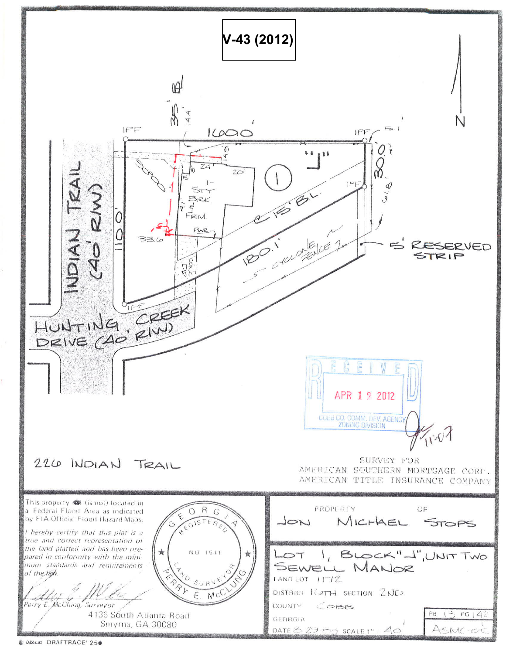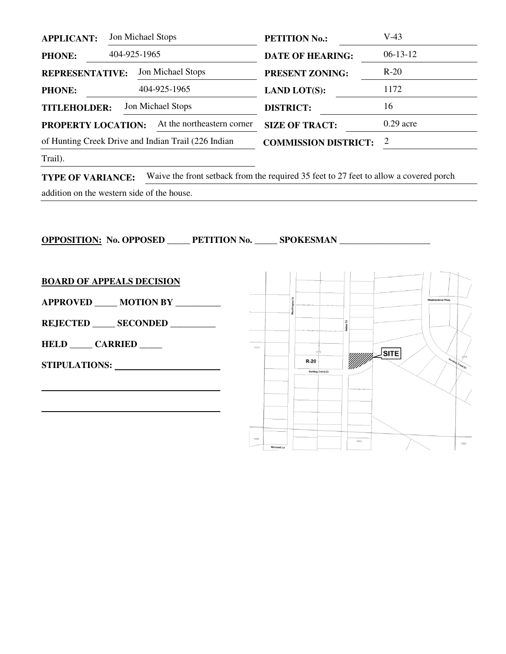| <b>APPLICANT:</b>                        |  | Jon Michael Stops                                   | <b>PETITION No.:</b>        | $V-43$      |
|------------------------------------------|--|-----------------------------------------------------|-----------------------------|-------------|
| <b>PHONE:</b>                            |  | 404-925-1965                                        | <b>DATE OF HEARING:</b>     | $06-13-12$  |
| <b>REPRESENTATIVE:</b>                   |  | Jon Michael Stops                                   | <b>PRESENT ZONING:</b>      | $R-20$      |
| <b>PHONE:</b>                            |  | 404-925-1965                                        | <b>LAND LOT(S):</b>         | 1172        |
| Jon Michael Stops<br><b>TITLEHOLDER:</b> |  |                                                     | <b>DISTRICT:</b>            | 16          |
| PROPERTY LOCATION:                       |  | At the northeastern corner                          | <b>SIZE OF TRACT:</b>       | $0.29$ acre |
|                                          |  | of Hunting Creek Drive and Indian Trail (226 Indian | <b>COMMISSION DISTRICT:</b> | 2           |
|                                          |  |                                                     |                             |             |

Trail).

**TYPE OF VARIANCE:** Waive the front setback from the required 35 feet to 27 feet to allow a covered porch

addition on the western side of the house.

**OPPOSITION: No. OPPOSED \_\_\_\_\_ PETITION No. \_\_\_\_\_ SPOKESMAN \_\_\_\_\_\_\_\_\_\_\_\_\_\_\_\_\_\_\_\_ BOARD OF APPEALS DECISION** orthington Dr **APPROVED \_\_\_\_\_ MOTION BY \_\_\_\_\_\_\_\_\_\_ REJECTED \_\_\_\_\_ SECONDED \_\_\_\_\_\_\_\_\_\_ HELD \_\_\_\_\_ CARRIED \_\_\_\_\_**  1171  $\sqrt{\text{SITE}}$  $R-20$ **STIPULATIONS:**  Hunting Creek Ct  1205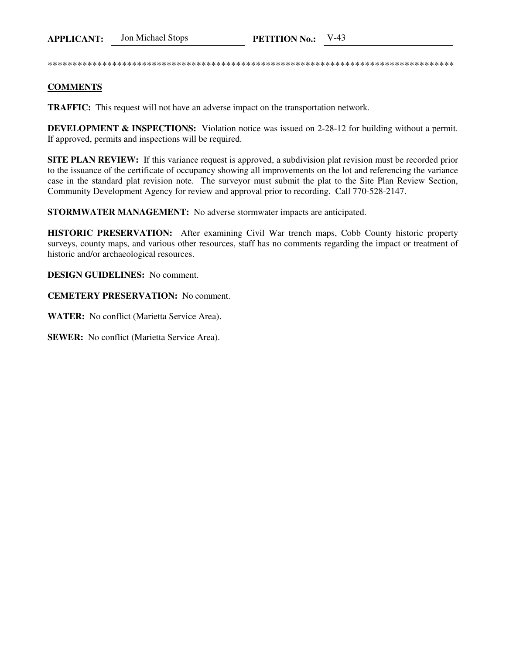\*\*\*\*\*\*\*\*\*\*\*\*\*\*\*\*\*\*\*\*\*\*\*\*\*\*\*\*\*\*\*\*\*\*\*\*\*\*\*\*\*\*\*\*\*\*\*\*\*\*\*\*\*\*\*\*\*\*\*\*\*\*\*\*\*\*\*\*\*\*\*\*\*\*\*\*\*\*\*\*\*\*

## **COMMENTS**

**TRAFFIC:** This request will not have an adverse impact on the transportation network.

**DEVELOPMENT & INSPECTIONS:** Violation notice was issued on 2-28-12 for building without a permit. If approved, permits and inspections will be required.

**SITE PLAN REVIEW:** If this variance request is approved, a subdivision plat revision must be recorded prior to the issuance of the certificate of occupancy showing all improvements on the lot and referencing the variance case in the standard plat revision note. The surveyor must submit the plat to the Site Plan Review Section, Community Development Agency for review and approval prior to recording. Call 770-528-2147.

**STORMWATER MANAGEMENT:** No adverse stormwater impacts are anticipated.

**HISTORIC PRESERVATION:** After examining Civil War trench maps, Cobb County historic property surveys, county maps, and various other resources, staff has no comments regarding the impact or treatment of historic and/or archaeological resources.

**DESIGN GUIDELINES:** No comment.

**CEMETERY PRESERVATION:** No comment.

**WATER:** No conflict (Marietta Service Area).

**SEWER:** No conflict (Marietta Service Area).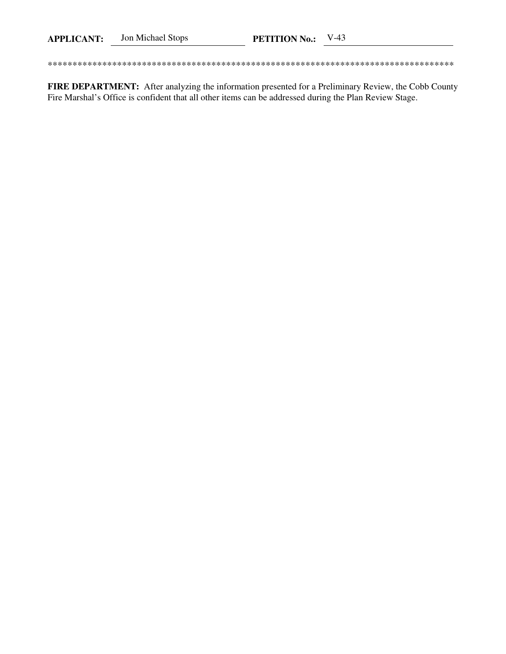FIRE DEPARTMENT: After analyzing the information presented for a Preliminary Review, the Cobb County Fire Marshal's Office is confident that all other items can be addressed during the Plan Review Stage.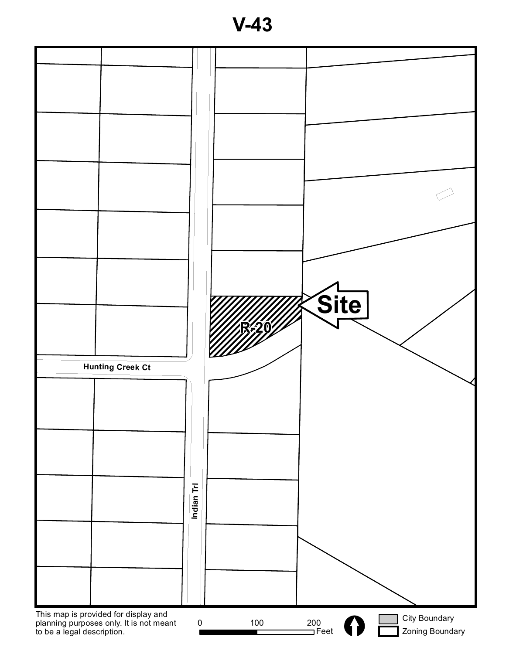**V-43**